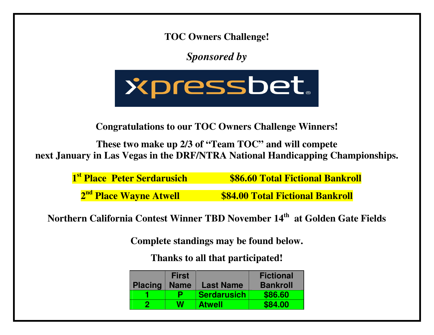**TOC Owners Challenge!** 

*Sponsored by* 



**Congratulations to our TOC Owners Challenge Winners!** 

**These two make up 2/3 of "Team TOC" and will compete next January in Las Vegas in the DRF/NTRA National Handicapping Championships.** 

**1st Place Peter Serdarusich \$86.60 Total Fictional Bankroll** 

**2nd Place Wayne Atwell \$84.00 Total Fictional Bankroll** 

**Northern California Contest Winner TBD November 14th at Golden Gate Fields** 

**Complete standings may be found below.** 

**Thanks to all that participated!** 

|                | <b>First</b> |                    | <b>Fictional</b> |
|----------------|--------------|--------------------|------------------|
| <b>Placing</b> | <b>Name</b>  | <b>Last Name</b>   | <b>Bankroll</b>  |
|                | p            | <b>Serdarusich</b> | \$86.60          |
|                | W            | <b>Atwell</b>      | \$84.00          |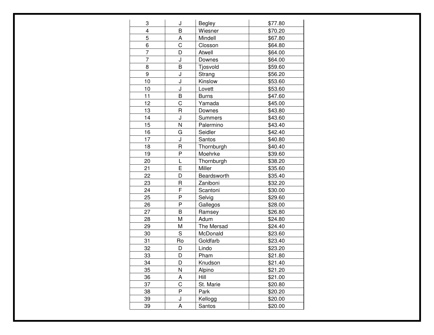| 3              | J                     | <b>Begley</b>  | \$77.80 |
|----------------|-----------------------|----------------|---------|
| 4              | B                     | Wiesner        | \$70.20 |
| 5              | Α                     | Mindell        | \$67.80 |
| 6              | $\overline{\text{c}}$ | Closson        | \$64.80 |
| 7              | D                     | Atwell         | \$64.00 |
| $\overline{7}$ | J                     | Downes         | \$64.00 |
| 8              | B                     | Tjosvold       | \$59.60 |
| 9              | J                     | Strang         | \$56.20 |
| 10             | J                     | Kinslow        | \$53.60 |
| 10             | J                     | Lovett         | \$53.60 |
| 11             | B                     | <b>Burns</b>   | \$47.60 |
| 12             | C                     | Yamada         | \$45.00 |
| 13             | $\mathsf{R}$          | Downes         | \$43.80 |
| 14             | J                     | <b>Summers</b> | \$43.60 |
| 15             | N                     | Palermino      | \$43.40 |
| 16             | G                     | Seidler        | \$42.40 |
| 17             | J                     | Santos         | \$40.80 |
| 18             | R                     | Thornburgh     | \$40.40 |
| 19             | P                     | Moehrke        | \$39.60 |
| 20             | L                     | Thornburgh     | \$38.20 |
| 21             | E                     | Miller         | \$35.60 |
| 22             | D                     | Beardsworth    | \$35.40 |
| 23             | $\mathsf R$           | Zaniboni       | \$32.20 |
| 24             | F                     | Scantoni       | \$30.00 |
| 25             | P                     | Selvig         | \$29.60 |
| 26             | P                     | Gallegos       | \$28.00 |
| 27             | B                     | Ramsey         | \$26.80 |
| 28             | M                     | Adum           | \$24.80 |
| 29             | М                     | The Mersad     | \$24.40 |
| 30             | S                     | McDonald       | \$23.60 |
| 31             | Ro                    | Goldfarb       | \$23.40 |
| 32             | D                     | Lindo          | \$23.20 |
| 33             | D                     | Pham           | \$21.80 |
| 34             | D                     | Knudson        | \$21.40 |
| 35             | N                     | Alpino         | \$21.20 |
| 36             | А                     | Hill           | \$21.00 |
| 37             | $\mathsf C$           | St. Marie      | \$20.80 |
| 38             | P                     | Park           | \$20.20 |
| 39             | J                     | Kellogg        | \$20.00 |
| 39             | А                     | Santos         | \$20.00 |